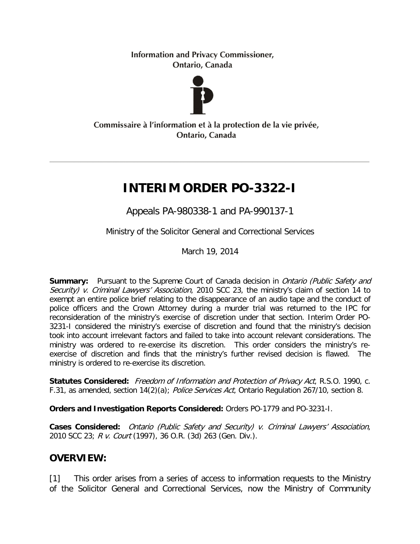**Information and Privacy Commissioner,** Ontario, Canada



#### Commissaire à l'information et à la protection de la vie privée, Ontario, Canada

# **INTERIM ORDER PO-3322-I**

Appeals PA-980338-1 and PA-990137-1

Ministry of the Solicitor General and Correctional Services

March 19, 2014

**Summary:** Pursuant to the Supreme Court of Canada decision in *Ontario (Public Safety and* Security) v. Criminal Lawyers' Association, 2010 SCC 23, the ministry's claim of section 14 to exempt an entire police brief relating to the disappearance of an audio tape and the conduct of police officers and the Crown Attorney during a murder trial was returned to the IPC for reconsideration of the ministry's exercise of discretion under that section. Interim Order PO-3231-I considered the ministry's exercise of discretion and found that the ministry's decision took into account irrelevant factors and failed to take into account relevant considerations. The ministry was ordered to re-exercise its discretion. This order considers the ministry's reexercise of discretion and finds that the ministry's further revised decision is flawed. The ministry is ordered to re-exercise its discretion.

Statutes Considered: Freedom of Information and Protection of Privacy Act, R.S.O. 1990, c. F.31, as amended, section 14(2)(a); Police Services Act, Ontario Regulation 267/10, section 8.

**Orders and Investigation Reports Considered:** Orders PO-1779 and PO-3231-I.

**Cases Considered:** Ontario (Public Safety and Security) v. Criminal Lawyers' Association, 2010 SCC 23; R v. Court (1997), 36 O.R. (3d) 263 (Gen. Div.).

## **OVERVIEW:**

[1] This order arises from a series of access to information requests to the Ministry of the Solicitor General and Correctional Services, now the Ministry of Community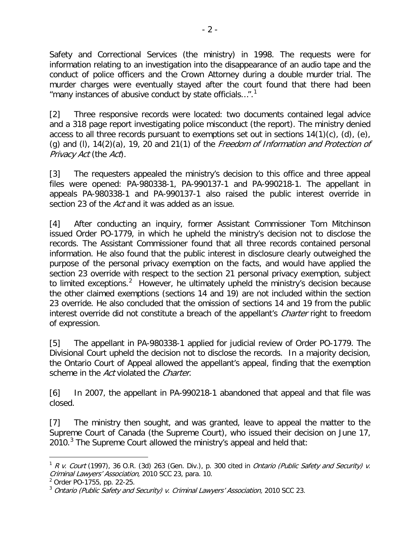Safety and Correctional Services (the ministry) in 1998. The requests were for information relating to an investigation into the disappearance of an audio tape and the conduct of police officers and the Crown Attorney during a double murder trial. The murder charges were eventually stayed after the court found that there had been "many instances of abusive conduct by state officials...".<sup>[1](#page-1-0)</sup>

[2] Three responsive records were located: two documents contained legal advice and a 318 page report investigating police misconduct (the report). The ministry denied access to all three records pursuant to exemptions set out in sections  $14(1)(c)$ , (d), (e), (q) and (l),  $14(2)(a)$ ,  $19$ , 20 and 21(1) of the *Freedom of Information and Protection of* Privacy Act (the Act).

[3] The requesters appealed the ministry's decision to this office and three appeal files were opened: PA-980338-1, PA-990137-1 and PA-990218-1. The appellant in appeals PA-980338-1 and PA-990137-1 also raised the public interest override in section 23 of the Act and it was added as an issue.

[4] After conducting an inquiry, former Assistant Commissioner Tom Mitchinson issued Order PO-1779, in which he upheld the ministry's decision not to disclose the records. The Assistant Commissioner found that all three records contained personal information. He also found that the public interest in disclosure clearly outweighed the purpose of the personal privacy exemption on the facts, and would have applied the section 23 override with respect to the section 21 personal privacy exemption, subject to limited exceptions.<sup>[2](#page-1-1)</sup> However, he ultimately upheld the ministry's decision because the other claimed exemptions (sections 14 and 19) are not included within the section 23 override. He also concluded that the omission of sections 14 and 19 from the public interest override did not constitute a breach of the appellant's *Charter* right to freedom of expression.

[5] The appellant in PA-980338-1 applied for judicial review of Order PO-1779. The Divisional Court upheld the decision not to disclose the records. In a majority decision, the Ontario Court of Appeal allowed the appellant's appeal, finding that the exemption scheme in the Act violated the Charter.

[6] In 2007, the appellant in PA-990218-1 abandoned that appeal and that file was closed.

[7] The ministry then sought, and was granted, leave to appeal the matter to the Supreme Court of Canada (the Supreme Court), who issued their decision on June 17, 2010. $3$  The Supreme Court allowed the ministry's appeal and held that:

<span id="page-1-0"></span> $1 R V.$  Court (1997), 36 O.R. (3d) 263 (Gen. Div.), p. 300 cited in *Ontario (Public Safety and Security) v.* Criminal Lawyers' Association, 2010 SCC 23, para. 10.

<span id="page-1-1"></span><sup>2</sup> Order PO-1755, pp. 22-25.

<span id="page-1-2"></span> $3$  Ontario (Public Safety and Security) v. Criminal Lawyers' Association, 2010 SCC 23.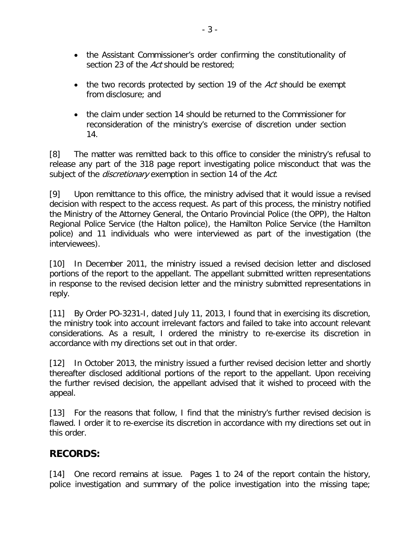- the Assistant Commissioner's order confirming the constitutionality of section 23 of the Act should be restored;
- the two records protected by section 19 of the Act should be exempt from disclosure; and
- the claim under section 14 should be returned to the Commissioner for reconsideration of the ministry's exercise of discretion under section 14.

[8] The matter was remitted back to this office to consider the ministry's refusal to release any part of the 318 page report investigating police misconduct that was the subject of the *discretionary* exemption in section 14 of the *Act*.

[9] Upon remittance to this office, the ministry advised that it would issue a revised decision with respect to the access request. As part of this process, the ministry notified the Ministry of the Attorney General, the Ontario Provincial Police (the OPP), the Halton Regional Police Service (the Halton police), the Hamilton Police Service (the Hamilton police) and 11 individuals who were interviewed as part of the investigation (the interviewees).

[10] In December 2011, the ministry issued a revised decision letter and disclosed portions of the report to the appellant. The appellant submitted written representations in response to the revised decision letter and the ministry submitted representations in reply.

[11] By Order PO-3231-I, dated July 11, 2013, I found that in exercising its discretion, the ministry took into account irrelevant factors and failed to take into account relevant considerations. As a result, I ordered the ministry to re-exercise its discretion in accordance with my directions set out in that order.

[12] In October 2013, the ministry issued a further revised decision letter and shortly thereafter disclosed additional portions of the report to the appellant. Upon receiving the further revised decision, the appellant advised that it wished to proceed with the appeal.

[13] For the reasons that follow, I find that the ministry's further revised decision is flawed. I order it to re-exercise its discretion in accordance with my directions set out in this order.

## **RECORDS:**

[14] One record remains at issue. Pages 1 to 24 of the report contain the history, police investigation and summary of the police investigation into the missing tape;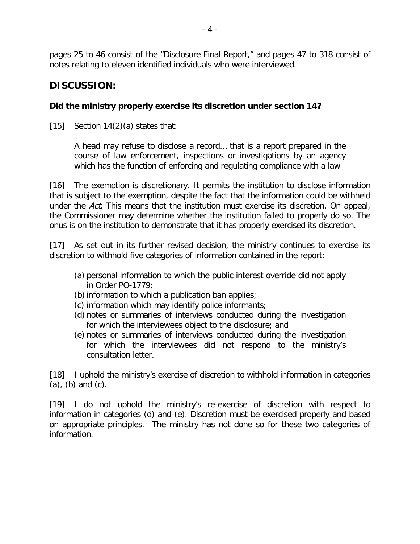pages 25 to 46 consist of the "Disclosure Final Report," and pages 47 to 318 consist of notes relating to eleven identified individuals who were interviewed.

# **DISCUSSION:**

#### **Did the ministry properly exercise its discretion under section 14?**

[15] Section  $14(2)(a)$  states that:

A head may refuse to disclose a record… that is a report prepared in the course of law enforcement, inspections or investigations by an agency which has the function of enforcing and regulating compliance with a law

[16] The exemption is discretionary. It permits the institution to disclose information that is subject to the exemption, despite the fact that the information could be withheld under the Act. This means that the institution must exercise its discretion. On appeal, the Commissioner may determine whether the institution failed to properly do so. The onus is on the institution to demonstrate that it has properly exercised its discretion.

[17] As set out in its further revised decision, the ministry continues to exercise its discretion to withhold five categories of information contained in the report:

- (a) personal information to which the public interest override did not apply in Order PO-1779;
- (b) information to which a publication ban applies;
- (c) information which may identify police informants;
- (d) notes or summaries of interviews conducted during the investigation for which the interviewees object to the disclosure; and
- (e) notes or summaries of interviews conducted during the investigation for which the interviewees did not respond to the ministry's consultation letter.

[18] I uphold the ministry's exercise of discretion to withhold information in categories  $(a)$ ,  $(b)$  and  $(c)$ .

[19] I do not uphold the ministry's re-exercise of discretion with respect to information in categories (d) and (e). Discretion must be exercised properly and based on appropriate principles. The ministry has not done so for these two categories of information.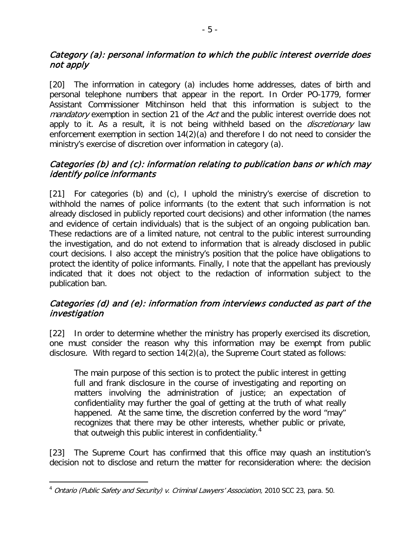#### Category (a): personal information to which the public interest override does not apply

[20] The information in category (a) includes home addresses, dates of birth and personal telephone numbers that appear in the report. In Order PO-1779, former Assistant Commissioner Mitchinson held that this information is subject to the mandatory exemption in section 21 of the Act and the public interest override does not apply to it. As a result, it is not being withheld based on the *discretionary* law enforcement exemption in section 14(2)(a) and therefore I do not need to consider the ministry's exercise of discretion over information in category (a).

#### Categories (b) and (c): information relating to publication bans or which may identify police informants

[21] For categories (b) and (c), I uphold the ministry's exercise of discretion to withhold the names of police informants (to the extent that such information is not already disclosed in publicly reported court decisions) and other information (the names and evidence of certain individuals) that is the subject of an ongoing publication ban. These redactions are of a limited nature, not central to the public interest surrounding the investigation, and do not extend to information that is already disclosed in public court decisions. I also accept the ministry's position that the police have obligations to protect the identity of police informants. Finally, I note that the appellant has previously indicated that it does not object to the redaction of information subject to the publication ban.

#### Categories (d) and (e): information from interviews conducted as part of the investigation

[22] In order to determine whether the ministry has properly exercised its discretion, one must consider the reason why this information may be exempt from public disclosure. With regard to section 14(2)(a), the Supreme Court stated as follows:

The main purpose of this section is to protect the public interest in getting full and frank disclosure in the course of investigating and reporting on matters involving the administration of justice; an expectation of confidentiality may further the goal of getting at the truth of what really happened. At the same time, the discretion conferred by the word "may" recognizes that there may be other interests, whether public or private, that outweigh this public interest in confidentiality.<sup>[4](#page-4-0)</sup>

[23] The Supreme Court has confirmed that this office may quash an institution's decision not to disclose and return the matter for reconsideration where: the decision

<span id="page-4-0"></span><sup>&</sup>lt;sup>4</sup> Ontario (Public Safety and Security) v. Criminal Lawyers' Association, 2010 SCC 23, para. 50.  $\overline{a}$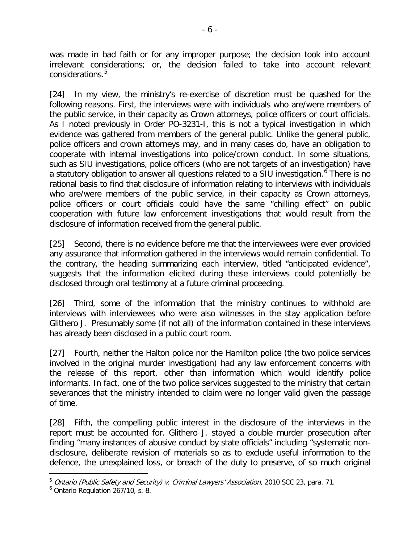was made in bad faith or for any improper purpose; the decision took into account irrelevant considerations; or, the decision failed to take into account relevant considerations.<sup>[5](#page-5-0)</sup>

[24] In my view, the ministry's re-exercise of discretion must be quashed for the following reasons. First, the interviews were with individuals who are/were members of the public service, in their capacity as Crown attorneys, police officers or court officials. As I noted previously in Order PO-3231-I, this is not a typical investigation in which evidence was gathered from members of the general public. Unlike the general public, police officers and crown attorneys may, and in many cases do, have an obligation to cooperate with internal investigations into police/crown conduct. In some situations, such as SIU investigations, police officers (who are not targets of an investigation) have a statutory obligation to answer all questions related to a SIU investigation.<sup>[6](#page-5-1)</sup> There is no rational basis to find that disclosure of information relating to interviews with individuals who are/were members of the public service, in their capacity as Crown attorneys, police officers or court officials could have the same "chilling effect" on public cooperation with future law enforcement investigations that would result from the disclosure of information received from the general public.

[25] Second, there is no evidence before me that the interviewees were ever provided any assurance that information gathered in the interviews would remain confidential. To the contrary, the heading summarizing each interview, titled "anticipated evidence", suggests that the information elicited during these interviews could potentially be disclosed through oral testimony at a future criminal proceeding.

[26] Third, some of the information that the ministry continues to withhold are interviews with interviewees who were also witnesses in the stay application before Glithero J. Presumably some (if not all) of the information contained in these interviews has already been disclosed in a public court room.

[27] Fourth, neither the Halton police nor the Hamilton police (the two police services involved in the original murder investigation) had any law enforcement concerns with the release of this report, other than information which would identify police informants. In fact, one of the two police services suggested to the ministry that certain severances that the ministry intended to claim were no longer valid given the passage of time.

[28] Fifth, the compelling public interest in the disclosure of the interviews in the report must be accounted for. Glithero J. stayed a double murder prosecution after finding "many instances of abusive conduct by state officials" including "systematic nondisclosure, deliberate revision of materials so as to exclude useful information to the defence, the unexplained loss, or breach of the duty to preserve, of so much original

<span id="page-5-0"></span><sup>&</sup>lt;sup>5</sup> Ontario (Public Safety and Security) v. Criminal Lawyers' Association, 2010 SCC 23, para. 71.

<span id="page-5-1"></span><sup>6</sup> Ontario Regulation 267/10, s. 8.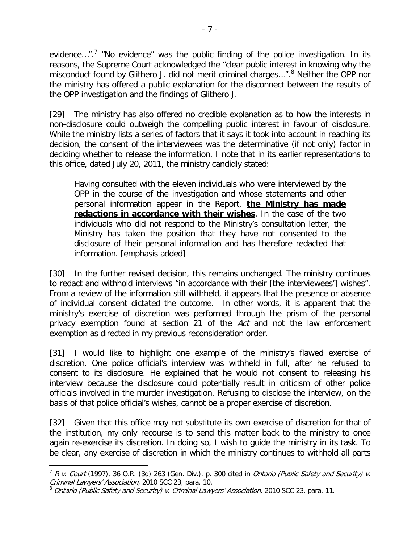evidence...".<sup>[7](#page-6-0)</sup> "No evidence" was the public finding of the police investigation. In its reasons, the Supreme Court acknowledged the "clear public interest in knowing why the misconduct found by Glithero J. did not merit criminal charges...".<sup>[8](#page-6-1)</sup> Neither the OPP nor the ministry has offered a public explanation for the disconnect between the results of the OPP investigation and the findings of Glithero J.

[29] The ministry has also offered no credible explanation as to how the interests in non-disclosure could outweigh the compelling public interest in favour of disclosure. While the ministry lists a series of factors that it says it took into account in reaching its decision, the consent of the interviewees was the determinative (if not only) factor in deciding whether to release the information. I note that in its earlier representations to this office, dated July 20, 2011, the ministry candidly stated:

Having consulted with the eleven individuals who were interviewed by the OPP in the course of the investigation and whose statements and other personal information appear in the Report, **the Ministry has made redactions in accordance with their wishes**. In the case of the two individuals who did not respond to the Ministry's consultation letter, the Ministry has taken the position that they have not consented to the disclosure of their personal information and has therefore redacted that information. [emphasis added]

[30] In the further revised decision, this remains unchanged. The ministry continues to redact and withhold interviews "in accordance with their [the interviewees'] wishes". From a review of the information still withheld, it appears that the presence or absence of individual consent dictated the outcome. In other words, it is apparent that the ministry's exercise of discretion was performed through the prism of the personal privacy exemption found at section 21 of the Act and not the law enforcement exemption as directed in my previous reconsideration order.

[31] I would like to highlight one example of the ministry's flawed exercise of discretion. One police official's interview was withheld in full, after he refused to consent to its disclosure. He explained that he would not consent to releasing his interview because the disclosure could potentially result in criticism of other police officials involved in the murder investigation. Refusing to disclose the interview, on the basis of that police official's wishes, cannot be a proper exercise of discretion.

[32] Given that this office may not substitute its own exercise of discretion for that of the institution, my only recourse is to send this matter back to the ministry to once again re-exercise its discretion. In doing so, I wish to guide the ministry in its task. To be clear, any exercise of discretion in which the ministry continues to withhold all parts

<span id="page-6-0"></span> $7 R V.$  Court (1997), 36 O.R. (3d) 263 (Gen. Div.), p. 300 cited in *Ontario (Public Safety and Security) v.* Criminal Lawyers' Association, 2010 SCC 23, para. 10.

<span id="page-6-1"></span> $^8$  Ontario (Public Safety and Security) v. Criminal Lawyers' Association, 2010 SCC 23, para. 11.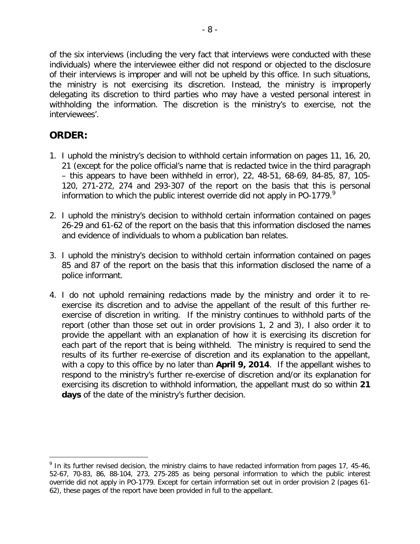of the six interviews (including the very fact that interviews were conducted with these individuals) where the interviewee either did not respond or objected to the disclosure of their interviews is improper and will not be upheld by this office. In such situations, the ministry is not exercising its discretion. Instead, the ministry is improperly delegating its discretion to third parties who may have a vested personal interest in withholding the information. The discretion is the ministry's to exercise, not the interviewees'.

## **ORDER:**

- 1. I uphold the ministry's decision to withhold certain information on pages 11, 16, 20, 21 (except for the police official's name that is redacted twice in the third paragraph – this appears to have been withheld in error), 22, 48-51, 68-69, 84-85, 87, 105- 120, 271-272, 274 and 293-307 of the report on the basis that this is personal information to which the public interest override did not apply in PO-177[9](#page-7-0). $^9$
- 2. I uphold the ministry's decision to withhold certain information contained on pages 26-29 and 61-62 of the report on the basis that this information disclosed the names and evidence of individuals to whom a publication ban relates.
- 3. I uphold the ministry's decision to withhold certain information contained on pages 85 and 87 of the report on the basis that this information disclosed the name of a police informant.
- 4. I do not uphold remaining redactions made by the ministry and order it to reexercise its discretion and to advise the appellant of the result of this further reexercise of discretion in writing. If the ministry continues to withhold parts of the report (other than those set out in order provisions 1, 2 and 3), I also order it to provide the appellant with an explanation of how it is exercising its discretion for each part of the report that is being withheld. The ministry is required to send the results of its further re-exercise of discretion and its explanation to the appellant, with a copy to this office by no later than **April 9, 2014**. If the appellant wishes to respond to the ministry's further re-exercise of discretion and/or its explanation for exercising its discretion to withhold information, the appellant must do so within **21 days** of the date of the ministry's further decision.

<span id="page-7-0"></span><sup>&</sup>lt;sup>9</sup> In its further revised decision, the ministry claims to have redacted information from pages 17, 45-46, 52-67, 70-83, 86, 88-104, 273, 275-285 as being personal information to which the public interest override did not apply in PO-1779. Except for certain information set out in order provision 2 (pages 61- 62), these pages of the report have been provided in full to the appellant.